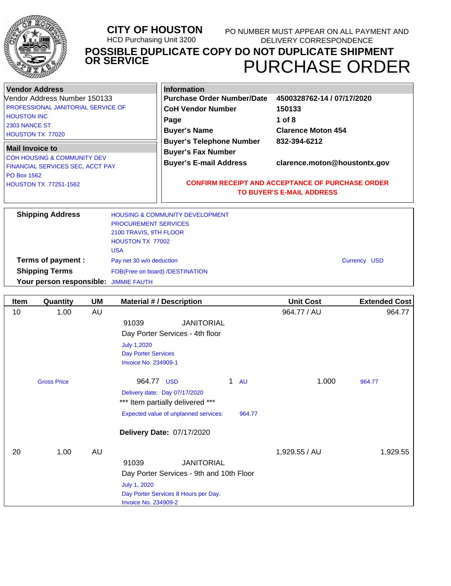|--|

| <b>Vendor Address</b>                    | <b>Information</b>                                                                          |                              |  |
|------------------------------------------|---------------------------------------------------------------------------------------------|------------------------------|--|
| Vendor Address Number 150133             | <b>Purchase Order Number/Date</b>                                                           | 4500328762-14 / 07/17/2020   |  |
| PROFESSIONAL JANITORIAL SERVICE OF       | <b>CoH Vendor Number</b>                                                                    | 150133                       |  |
| <b>HOUSTON INC</b>                       | Page                                                                                        | 1 of $8$                     |  |
| 2303 NANCE ST<br><b>HOUSTON TX 77020</b> | <b>Buyer's Name</b>                                                                         | <b>Clarence Moton 454</b>    |  |
| <b>Mail Invoice to</b>                   | <b>Buyer's Telephone Number</b><br><b>Buyer's Fax Number</b>                                | 832-394-6212                 |  |
| <b>COH HOUSING &amp; COMMUNITY DEV</b>   | <b>Buyer's E-mail Address</b>                                                               | clarence.moton@houstontx.gov |  |
| <b>FINANCIAL SERVICES SEC, ACCT PAY</b>  |                                                                                             |                              |  |
| <b>PO Box 1562</b>                       |                                                                                             |                              |  |
| <b>HOUSTON TX 77251-1562</b>             | <b>CONFIRM RECEIPT AND ACCEPTANCE OF PURCHASE ORDER</b><br><b>TO BUYER'S E-MAIL ADDRESS</b> |                              |  |

| <b>Shipping Address</b>               | <b>HOUSING &amp; COMMUNITY DEVELOPMENT</b> |                     |
|---------------------------------------|--------------------------------------------|---------------------|
|                                       | <b>PROCUREMENT SERVICES</b>                |                     |
|                                       | 2100 TRAVIS, 9TH FLOOR                     |                     |
|                                       | <b>HOUSTON TX 77002</b>                    |                     |
|                                       | <b>USA</b>                                 |                     |
| Terms of payment :                    | Pay net 30 w/o deduction                   | <b>Currency USD</b> |
| <b>Shipping Terms</b>                 | FOB(Free on board) /DESTINATION            |                     |
| Your person responsible: JIMMIE FAUTH |                                            |                     |

| <b>Item</b> | Quantity           | UM | <b>Material #/ Description</b>                  | <b>Unit Cost</b> | <b>Extended Cost</b> |
|-------------|--------------------|----|-------------------------------------------------|------------------|----------------------|
| 10          | 1.00               | AU |                                                 | 964.77 / AU      | 964.77               |
|             |                    |    | <b>JANITORIAL</b><br>91039                      |                  |                      |
|             |                    |    | Day Porter Services - 4th floor                 |                  |                      |
|             |                    |    | <b>July 1,2020</b>                              |                  |                      |
|             |                    |    | <b>Day Porter Services</b>                      |                  |                      |
|             |                    |    | <b>Invoice No. 234909-1</b>                     |                  |                      |
|             | <b>Gross Price</b> |    | 964.77 USD<br>$\mathbf 1$<br><b>AU</b>          | 1.000            | 964.77               |
|             |                    |    | Delivery date: Day 07/17/2020                   |                  |                      |
|             |                    |    | *** Item partially delivered ***                |                  |                      |
|             |                    |    | Expected value of unplanned services:<br>964.77 |                  |                      |
|             |                    |    | Delivery Date: 07/17/2020                       |                  |                      |
| 20          | 1.00               | AU |                                                 | 1,929.55 / AU    | 1,929.55             |
|             |                    |    | <b>JANITORIAL</b><br>91039                      |                  |                      |
|             |                    |    | Day Porter Services - 9th and 10th Floor        |                  |                      |
|             |                    |    | <b>July 1, 2020</b>                             |                  |                      |
|             |                    |    | Day Porter Services 8 Hours per Day.            |                  |                      |
|             |                    |    | <b>Invoice No. 234909-2</b>                     |                  |                      |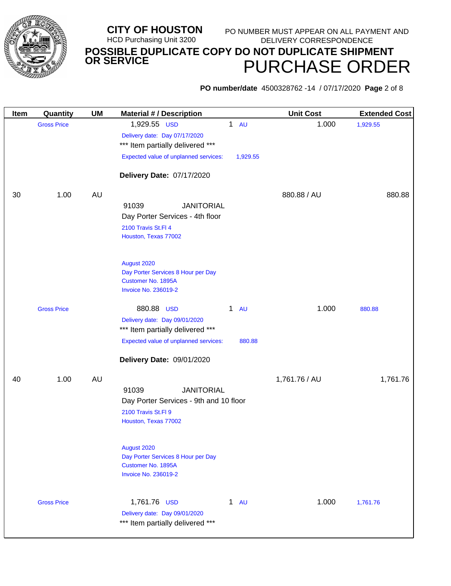

**PO number/date** 4500328762 -14 / 07/17/2020 **Page** 2 of 8

| <b>Item</b> | Quantity           | <b>UM</b> | <b>Material # / Description</b>                                   |           | <b>Unit Cost</b> | <b>Extended Cost</b> |
|-------------|--------------------|-----------|-------------------------------------------------------------------|-----------|------------------|----------------------|
|             | <b>Gross Price</b> |           | 1,929.55 USD                                                      | $1$ AU    | 1.000            | 1,929.55             |
|             |                    |           | Delivery date: Day 07/17/2020                                     |           |                  |                      |
|             |                    |           | *** Item partially delivered ***                                  |           |                  |                      |
|             |                    |           | Expected value of unplanned services:                             | 1,929.55  |                  |                      |
|             |                    |           | Delivery Date: 07/17/2020                                         |           |                  |                      |
| 30          | 1.00               | <b>AU</b> |                                                                   |           | 880.88 / AU      | 880.88               |
|             |                    |           | 91039<br><b>JANITORIAL</b>                                        |           |                  |                      |
|             |                    |           | Day Porter Services - 4th floor                                   |           |                  |                      |
|             |                    |           | 2100 Travis St.Fl 4                                               |           |                  |                      |
|             |                    |           | Houston, Texas 77002                                              |           |                  |                      |
|             |                    |           | August 2020                                                       |           |                  |                      |
|             |                    |           | Day Porter Services 8 Hour per Day                                |           |                  |                      |
|             |                    |           | Customer No. 1895A<br><b>Invoice No. 236019-2</b>                 |           |                  |                      |
|             |                    |           |                                                                   |           |                  |                      |
|             | <b>Gross Price</b> |           | 880.88 USD<br>$\mathbf 1$                                         | <b>AU</b> | 1.000            | 880.88               |
|             |                    |           | Delivery date: Day 09/01/2020<br>*** Item partially delivered *** |           |                  |                      |
|             |                    |           | Expected value of unplanned services:                             | 880.88    |                  |                      |
|             |                    |           |                                                                   |           |                  |                      |
|             |                    |           | Delivery Date: 09/01/2020                                         |           |                  |                      |
| 40          | 1.00               | <b>AU</b> |                                                                   |           | 1,761.76 / AU    | 1,761.76             |
|             |                    |           | 91039<br><b>JANITORIAL</b>                                        |           |                  |                      |
|             |                    |           | Day Porter Services - 9th and 10 floor                            |           |                  |                      |
|             |                    |           | 2100 Travis St.FI 9<br>Houston, Texas 77002                       |           |                  |                      |
|             |                    |           |                                                                   |           |                  |                      |
|             |                    |           | August 2020                                                       |           |                  |                      |
|             |                    |           | Day Porter Services 8 Hour per Day                                |           |                  |                      |
|             |                    |           | Customer No. 1895A<br><b>Invoice No. 236019-2</b>                 |           |                  |                      |
|             |                    |           |                                                                   |           |                  |                      |
|             | <b>Gross Price</b> |           | 1,761.76 USD                                                      | 1 AU      | 1.000            | 1,761.76             |
|             |                    |           | Delivery date: Day 09/01/2020                                     |           |                  |                      |
|             |                    |           | *** Item partially delivered ***                                  |           |                  |                      |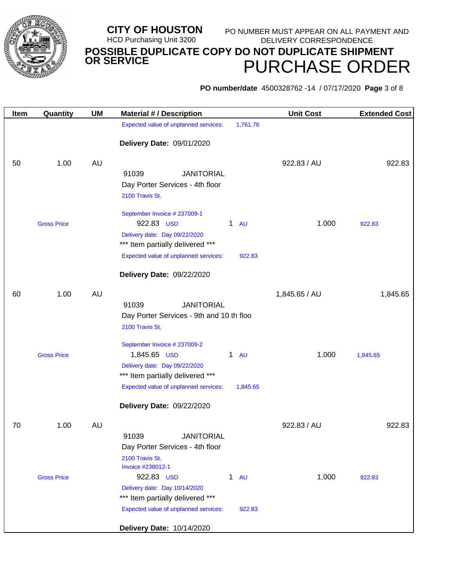

# **PO number/date** 4500328762 -14 / 07/17/2020 **Page** 3 of 8

| Item | Quantity           | <b>UM</b> | <b>Material # / Description</b>                                   | <b>Unit Cost</b> | <b>Extended Cost</b> |
|------|--------------------|-----------|-------------------------------------------------------------------|------------------|----------------------|
|      |                    |           | Expected value of unplanned services:<br>1,761.76                 |                  |                      |
|      |                    |           | Delivery Date: 09/01/2020                                         |                  |                      |
|      |                    |           |                                                                   |                  |                      |
| 50   | 1.00               | <b>AU</b> |                                                                   | 922.83 / AU      | 922.83               |
|      |                    |           | 91039<br><b>JANITORIAL</b>                                        |                  |                      |
|      |                    |           | Day Porter Services - 4th floor                                   |                  |                      |
|      |                    |           | 2100 Travis St.                                                   |                  |                      |
|      |                    |           | September Invoice # 237009-1                                      |                  |                      |
|      | <b>Gross Price</b> |           | 922.83 USD<br>$\mathbf 1$<br><b>AU</b>                            | 1.000            | 922.83               |
|      |                    |           | Delivery date: Day 09/22/2020                                     |                  |                      |
|      |                    |           | *** Item partially delivered ***                                  |                  |                      |
|      |                    |           | Expected value of unplanned services:<br>922.83                   |                  |                      |
|      |                    |           | Delivery Date: 09/22/2020                                         |                  |                      |
| 60   | 1.00               | AU        |                                                                   | 1,845.65 / AU    | 1,845.65             |
|      |                    |           | 91039<br><b>JANITORIAL</b>                                        |                  |                      |
|      |                    |           | Day Porter Services - 9th and 10 th floo                          |                  |                      |
|      |                    |           | 2100 Travis St.                                                   |                  |                      |
|      |                    |           | September Invoice # 237009-2                                      |                  |                      |
|      | <b>Gross Price</b> |           | 1,845.65 USD<br>$\mathbf{1}$<br><b>AU</b>                         | 1.000            | 1,845.65             |
|      |                    |           | Delivery date: Day 09/22/2020                                     |                  |                      |
|      |                    |           | *** Item partially delivered ***                                  |                  |                      |
|      |                    |           | Expected value of unplanned services:<br>1,845.65                 |                  |                      |
|      |                    |           | Delivery Date: 09/22/2020                                         |                  |                      |
| 70   | 1.00               | <b>AU</b> |                                                                   | 922.83 / AU      | 922.83               |
|      |                    |           | 91039<br><b>JANITORIAL</b>                                        |                  |                      |
|      |                    |           | Day Porter Services - 4th floor                                   |                  |                      |
|      |                    |           | 2100 Travis St.                                                   |                  |                      |
|      |                    |           | Invoice #238012-1                                                 |                  |                      |
|      | <b>Gross Price</b> |           | 922.83 USD<br>$\mathbf{1}$<br><b>AU</b>                           | 1.000            | 922.83               |
|      |                    |           | Delivery date: Day 10/14/2020<br>*** Item partially delivered *** |                  |                      |
|      |                    |           | Expected value of unplanned services:<br>922.83                   |                  |                      |
|      |                    |           |                                                                   |                  |                      |
|      |                    |           | Delivery Date: 10/14/2020                                         |                  |                      |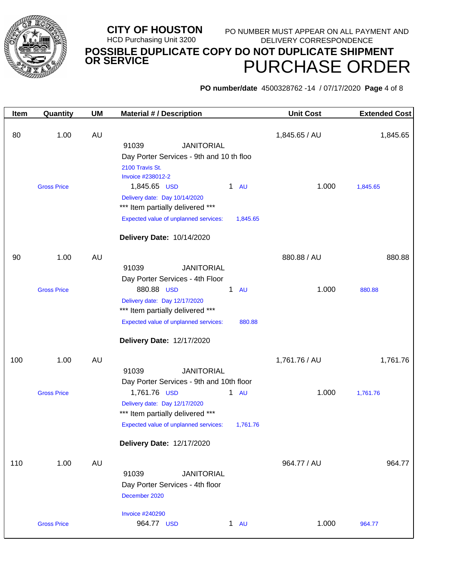

**PO number/date** 4500328762 -14 / 07/17/2020 **Page** 4 of 8

| Item | Quantity           | <b>UM</b> | <b>Material # / Description</b>                                          | <b>Unit Cost</b> | <b>Extended Cost</b> |
|------|--------------------|-----------|--------------------------------------------------------------------------|------------------|----------------------|
| 80   | 1.00               | AU        | 91039<br><b>JANITORIAL</b>                                               | 1,845.65 / AU    | 1,845.65             |
|      |                    |           | Day Porter Services - 9th and 10 th floo                                 |                  |                      |
|      |                    |           | 2100 Travis St.<br>Invoice #238012-2                                     |                  |                      |
|      | <b>Gross Price</b> |           | 1,845.65 USD<br>$1$ AU                                                   | 1.000            | 1,845.65             |
|      |                    |           | Delivery date: Day 10/14/2020                                            |                  |                      |
|      |                    |           | *** Item partially delivered ***                                         |                  |                      |
|      |                    |           | Expected value of unplanned services:<br>1,845.65                        |                  |                      |
|      |                    |           | Delivery Date: 10/14/2020                                                |                  |                      |
| 90   | 1.00               | AU        |                                                                          | 880.88 / AU      | 880.88               |
|      |                    |           | 91039<br><b>JANITORIAL</b>                                               |                  |                      |
|      |                    |           | Day Porter Services - 4th Floor                                          |                  |                      |
|      | <b>Gross Price</b> |           | 880.88 USD<br>$\mathbf{1}$<br><b>AU</b><br>Delivery date: Day 12/17/2020 | 1.000            | 880.88               |
|      |                    |           | *** Item partially delivered ***                                         |                  |                      |
|      |                    |           | Expected value of unplanned services:<br>880.88                          |                  |                      |
|      |                    |           | Delivery Date: 12/17/2020                                                |                  |                      |
| 100  | 1.00               | AU        |                                                                          | 1,761.76 / AU    | 1,761.76             |
|      |                    |           | 91039<br><b>JANITORIAL</b>                                               |                  |                      |
|      |                    |           | Day Porter Services - 9th and 10th floor                                 |                  |                      |
|      | <b>Gross Price</b> |           | 1,761.76 USD<br>1 AU                                                     | 1.000            | 1,761.76             |
|      |                    |           | Delivery date: Day 12/17/2020<br>*** Item partially delivered ***        |                  |                      |
|      |                    |           | Expected value of unplanned services:<br>1,761.76                        |                  |                      |
|      |                    |           | Delivery Date: 12/17/2020                                                |                  |                      |
|      |                    |           |                                                                          |                  |                      |
| 110  | 1.00               | AU        | 91039<br><b>JANITORIAL</b>                                               | 964.77 / AU      | 964.77               |
|      |                    |           | Day Porter Services - 4th floor                                          |                  |                      |
|      |                    |           | December 2020                                                            |                  |                      |
|      |                    |           | <b>Invoice #240290</b>                                                   |                  |                      |
|      | <b>Gross Price</b> |           | 964.77 USD<br>1 AU                                                       | 1.000            | 964.77               |
|      |                    |           |                                                                          |                  |                      |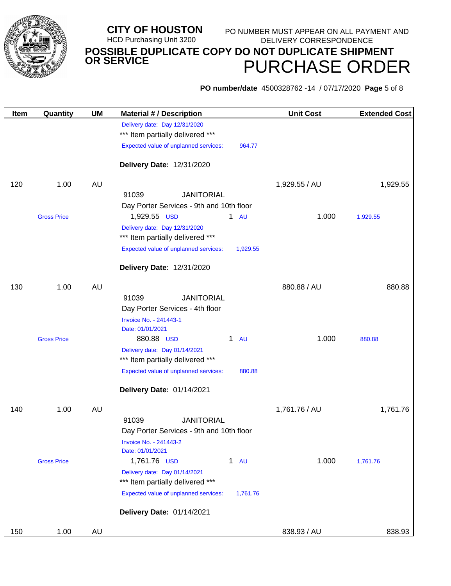

# **PO number/date** 4500328762 -14 / 07/17/2020 **Page** 5 of 8

| Item | Quantity           | UM        | <b>Material #/ Description</b>                                    |                           | <b>Unit Cost</b> | <b>Extended Cost</b> |
|------|--------------------|-----------|-------------------------------------------------------------------|---------------------------|------------------|----------------------|
|      |                    |           | Delivery date: Day 12/31/2020                                     |                           |                  |                      |
|      |                    |           | *** Item partially delivered ***                                  |                           |                  |                      |
|      |                    |           | Expected value of unplanned services:                             | 964.77                    |                  |                      |
|      |                    |           | Delivery Date: 12/31/2020                                         |                           |                  |                      |
| 120  | 1.00               | <b>AU</b> |                                                                   |                           | 1,929.55 / AU    | 1,929.55             |
|      |                    |           | 91039<br><b>JANITORIAL</b>                                        |                           |                  |                      |
|      |                    |           | Day Porter Services - 9th and 10th floor                          |                           |                  |                      |
|      | <b>Gross Price</b> |           | 1,929.55 USD                                                      | $1$ AU                    | 1.000            | 1,929.55             |
|      |                    |           | Delivery date: Day 12/31/2020<br>*** Item partially delivered *** |                           |                  |                      |
|      |                    |           | Expected value of unplanned services:                             | 1,929.55                  |                  |                      |
|      |                    |           | Delivery Date: 12/31/2020                                         |                           |                  |                      |
| 130  | 1.00               | <b>AU</b> |                                                                   |                           | 880.88 / AU      | 880.88               |
|      |                    |           | <b>JANITORIAL</b><br>91039                                        |                           |                  |                      |
|      |                    |           | Day Porter Services - 4th floor                                   |                           |                  |                      |
|      |                    |           | Invoice No. - 241443-1                                            |                           |                  |                      |
|      |                    |           | Date: 01/01/2021                                                  |                           |                  |                      |
|      | <b>Gross Price</b> |           | 880.88 USD                                                        | $\mathbf{1}$<br><b>AU</b> | 1.000            | 880.88               |
|      |                    |           | Delivery date: Day 01/14/2021<br>*** Item partially delivered *** |                           |                  |                      |
|      |                    |           | Expected value of unplanned services:                             | 880.88                    |                  |                      |
|      |                    |           | Delivery Date: 01/14/2021                                         |                           |                  |                      |
| 140  | 1.00               | <b>AU</b> |                                                                   |                           | 1,761.76 / AU    | 1,761.76             |
|      |                    |           | <b>JANITORIAL</b><br>91039                                        |                           |                  |                      |
|      |                    |           | Day Porter Services - 9th and 10th floor                          |                           |                  |                      |
|      |                    |           | Invoice No. - 241443-2<br>Date: 01/01/2021                        |                           |                  |                      |
|      | <b>Gross Price</b> |           | 1,761.76 USD                                                      | $1$ AU                    | 1.000            | 1,761.76             |
|      |                    |           | Delivery date: Day 01/14/2021<br>*** Item partially delivered *** |                           |                  |                      |
|      |                    |           | Expected value of unplanned services:                             | 1,761.76                  |                  |                      |
|      |                    |           | Delivery Date: 01/14/2021                                         |                           |                  |                      |
| 150  | 1.00               | AU        |                                                                   |                           | 838.93 / AU      | 838.93               |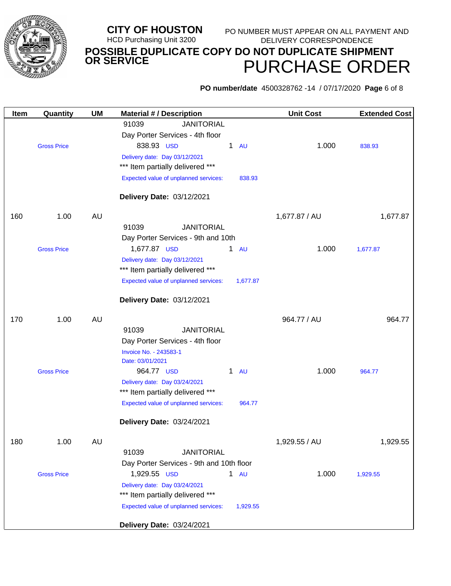

**PO number/date** 4500328762 -14 / 07/17/2020 **Page** 6 of 8

| Item | Quantity           | <b>UM</b> | <b>Material #/ Description</b>                                    | <b>Unit Cost</b> | <b>Extended Cost</b> |
|------|--------------------|-----------|-------------------------------------------------------------------|------------------|----------------------|
|      |                    |           | 91039<br><b>JANITORIAL</b>                                        |                  |                      |
|      |                    |           | Day Porter Services - 4th floor                                   |                  |                      |
|      | <b>Gross Price</b> |           | 838.93 USD<br>$\mathbf{1}$<br><b>AU</b>                           | 1.000            | 838.93               |
|      |                    |           | Delivery date: Day 03/12/2021                                     |                  |                      |
|      |                    |           | *** Item partially delivered ***                                  |                  |                      |
|      |                    |           | Expected value of unplanned services:<br>838.93                   |                  |                      |
|      |                    |           | Delivery Date: 03/12/2021                                         |                  |                      |
| 160  | 1.00               | AU        |                                                                   | 1,677.87 / AU    | 1,677.87             |
|      |                    |           | <b>JANITORIAL</b><br>91039                                        |                  |                      |
|      |                    |           | Day Porter Services - 9th and 10th                                |                  |                      |
|      | <b>Gross Price</b> |           | 1,677.87 USD<br>$1 \quad \text{AU}$                               | 1.000            | 1,677.87             |
|      |                    |           | Delivery date: Day 03/12/2021                                     |                  |                      |
|      |                    |           | *** Item partially delivered ***                                  |                  |                      |
|      |                    |           | Expected value of unplanned services:<br>1,677.87                 |                  |                      |
|      |                    |           | Delivery Date: 03/12/2021                                         |                  |                      |
|      |                    |           |                                                                   |                  |                      |
| 170  | 1.00               | AU        |                                                                   | 964.77 / AU      | 964.77               |
|      |                    |           | 91039<br><b>JANITORIAL</b>                                        |                  |                      |
|      |                    |           | Day Porter Services - 4th floor                                   |                  |                      |
|      |                    |           | Invoice No. - 243583-1                                            |                  |                      |
|      |                    |           | Date: 03/01/2021                                                  |                  |                      |
|      | <b>Gross Price</b> |           | 964.77 USD<br>1<br><b>AU</b>                                      | 1.000            | 964.77               |
|      |                    |           | Delivery date: Day 03/24/2021<br>*** Item partially delivered *** |                  |                      |
|      |                    |           |                                                                   |                  |                      |
|      |                    |           | Expected value of unplanned services:<br>964.77                   |                  |                      |
|      |                    |           | Delivery Date: 03/24/2021                                         |                  |                      |
| 180  | 1.00               | <b>AU</b> |                                                                   | 1,929.55 / AU    | 1,929.55             |
|      |                    |           | 91039<br><b>JANITORIAL</b>                                        |                  |                      |
|      |                    |           | Day Porter Services - 9th and 10th floor                          |                  |                      |
|      | <b>Gross Price</b> |           | 1,929.55 USD<br>1 AU                                              | 1.000            | 1,929.55             |
|      |                    |           | Delivery date: Day 03/24/2021                                     |                  |                      |
|      |                    |           | *** Item partially delivered ***                                  |                  |                      |
|      |                    |           | Expected value of unplanned services:<br>1,929.55                 |                  |                      |
|      |                    |           | Delivery Date: 03/24/2021                                         |                  |                      |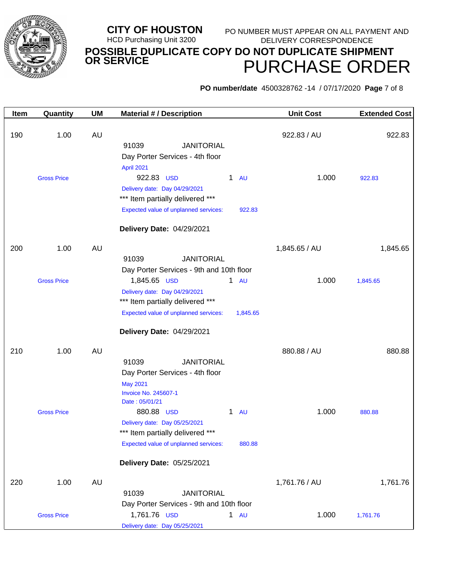

**PO number/date** 4500328762 -14 / 07/17/2020 **Page** 7 of 8

| Item | Quantity           | <b>UM</b> | <b>Material #/ Description</b>                                                                                                                                                               | <b>Unit Cost</b> | <b>Extended Cost</b> |
|------|--------------------|-----------|----------------------------------------------------------------------------------------------------------------------------------------------------------------------------------------------|------------------|----------------------|
| 190  | 1.00               | <b>AU</b> | 91039<br><b>JANITORIAL</b><br>Day Porter Services - 4th floor<br>April 2021                                                                                                                  | 922.83 / AU      | 922.83               |
|      | <b>Gross Price</b> |           | 922.83 USD<br>$1$ AU<br>Delivery date: Day 04/29/2021<br>*** Item partially delivered ***<br>Expected value of unplanned services:<br>922.83<br>Delivery Date: 04/29/2021                    | 1.000            | 922.83               |
| 200  | 1.00               | <b>AU</b> | 91039<br><b>JANITORIAL</b><br>Day Porter Services - 9th and 10th floor                                                                                                                       | 1,845.65 / AU    | 1,845.65             |
|      | <b>Gross Price</b> |           | 1,845.65 USD<br>$1$ AU<br>Delivery date: Day 04/29/2021<br>*** Item partially delivered ***<br>Expected value of unplanned services:<br>1,845.65<br>Delivery Date: 04/29/2021                | 1.000            | 1,845.65             |
| 210  | 1.00               | <b>AU</b> | <b>JANITORIAL</b><br>91039<br>Day Porter Services - 4th floor<br><b>May 2021</b><br><b>Invoice No. 245607-1</b><br>Date: 05/01/21                                                            | 880.88 / AU      | 880.88               |
|      | <b>Gross Price</b> |           | 880.88 USD<br>$\mathbf{1}$<br><b>AU</b><br>Delivery date: Day 05/25/2021<br>*** Item partially delivered ***<br>Expected value of unplanned services:<br>880.88<br>Delivery Date: 05/25/2021 | 1.000            | 880.88               |
| 220  | 1.00               | <b>AU</b> | 91039<br><b>JANITORIAL</b>                                                                                                                                                                   | 1,761.76 / AU    | 1,761.76             |
|      | <b>Gross Price</b> |           | Day Porter Services - 9th and 10th floor<br>1,761.76 USD<br>1 AU<br>Delivery date: Day 05/25/2021                                                                                            | 1.000            | 1,761.76             |